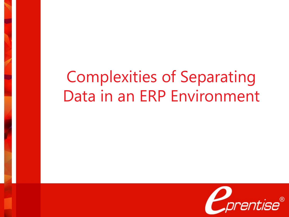# Complexities of Separating Data in an ERP Environment

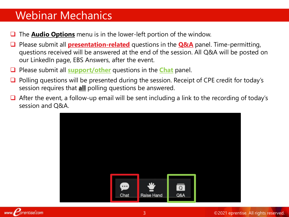### Webinar Mechanics

- The **Audio Options** menu is in the lower-left portion of the window.
- Please submit all **presentation-related** questions in the **Q&A** panel. Time-permitting, questions received will be answered at the end of the session. All Q&A will be posted on our LinkedIn page, EBS Answers, after the event.
- Please submit all **support/other** questions in the **Chat** panel.
- Polling questions will be presented during the session. Receipt of CPE credit for today's session requires that **all** polling questions be answered.
- $\Box$  After the event, a follow-up email will be sent including a link to the recording of today's session and Q&A.

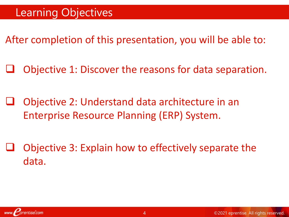After completion of this presentation, you will be able to:

Objective 1: Discover the reasons for data separation.

 Objective 2: Understand data architecture in an Enterprise Resource Planning (ERP) System.

 Objective 3: Explain how to effectively separate the data.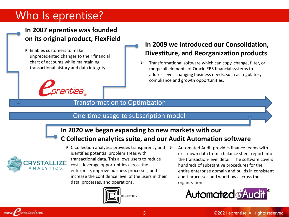### Who Is eprentise?

#### **In 2007 eprentise was founded on its original product, FlexField**

 $\triangleright$  Enables customers to make unprecedented changes to their financial chart of accounts while maintaining transactional history and data integrity.



#### **In 2009 we introduced our Consolidation, Divestiture, and Reorganization products**

 $\triangleright$  Transformational software which can copy, change, filter, or merge all elements of Oracle EBS financial systems to address ever-changing business needs, such as regulatory compliance and growth opportunities.

#### Transformation to Optimization

#### One-time usage to subscription model

#### **In 2020 we began expanding to new markets with our C Collection analytics suite, and our Audit Automation software**



entise.com

 $\triangleright$  C Collection analytics provides transparency and  $\triangleright$ identifies potential problem areas with transactional data. This allows users to reduce costs, leverage opportunities across the enterprise, improve business processes, and increase the confidence level of the users in their data, processes, and operations.



 Automated Audit provides finance teams with drill-down data from a balance sheet report into the transaction-level detail. The software covers hundreds of substantive procedures for the entire enterprise domain and builds in consistent audit processes and workflows across the organization.

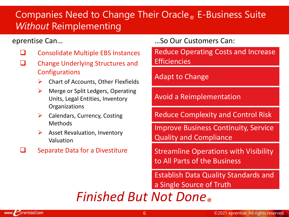### Companies Need to Change Their Oracle<sub>®</sub> E-Business Suite *Without* Reimplementing

- $\Box$  Consolidate Multiple EBS Instances
- $\Box$  Change Underlying Structures and **Configurations** 
	- $\triangleright$  Chart of Accounts, Other Flexfields
	- $\triangleright$  Merge or Split Ledgers, Operating Units, Legal Entities, Inventory **Organizations**
	- $\triangleright$  Calendars, Currency, Costing Methods
	- $\triangleright$  Asset Revaluation, Inventory Valuation
- $\Box$  Separate Data for a Divestiture

#### eprentise Can… …So Our Customers Can:

Reduce Operating Costs and Increase **Efficiencies** 

#### Adapt to Change

Avoid a Reimplementation

Reduce Complexity and Control Risk

Improve Business Continuity, Service Quality and Compliance

Streamline Operations with Visibility to All Parts of the Business

Establish Data Quality Standards and a Single Source of Truth

# *Finished But Not Done®*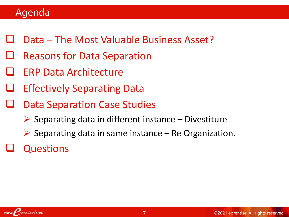### Agenda

- Data The Most Valuable Business Asset?
- Reasons for Data Separation
- ERP Data Architecture
- Effectively Separating Data
- Data Separation Case Studies
	- $\triangleright$  Separating data in different instance Divestiture
	- $\triangleright$  Separating data in same instance Re Organization.

# Questions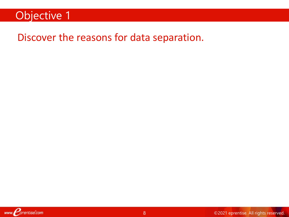### Objective 1

### Discover the reasons for data separation.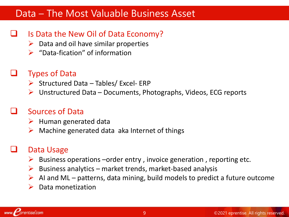### Data – The Most Valuable Business Asset

#### Is Data the New Oil of Data Economy?

- $\triangleright$  Data and oil have similar properties
- $\triangleright$  "Data-fication" of information

#### Types of Data

- $\triangleright$  Structured Data Tables/ Excel- ERP
- $\triangleright$  Unstructured Data Documents, Photographs, Videos, ECG reports

### Sources of Data

- $\triangleright$  Human generated data
- $\triangleright$  Machine generated data aka Internet of things

### Data Usage

- $\triangleright$  Business operations –order entry, invoice generation, reporting etc.
- $\triangleright$  Business analytics market trends, market-based analysis
- $\triangleright$  AI and ML patterns, data mining, build models to predict a future outcome
- $\triangleright$  Data monetization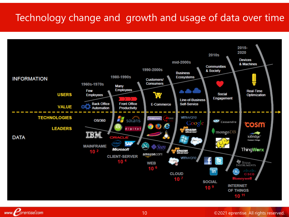### Technology change and growth and usage of data over time



www. *prentise.com*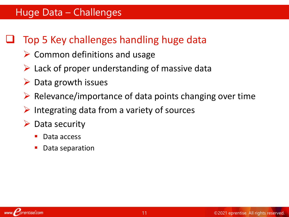## Top 5 Key challenges handling huge data

- $\triangleright$  Common definitions and usage
- $\triangleright$  Lack of proper understanding of massive data
- $\triangleright$  Data growth issues
- $\triangleright$  Relevance/importance of data points changing over time
- $\triangleright$  Integrating data from a variety of sources
- Data security
	- Data access
	- Data separation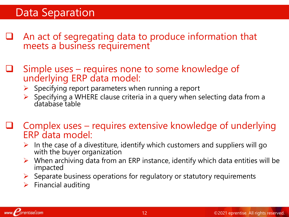### Data Separation

- An act of segregating data to produce information that meets a business requirement
- Simple uses requires none to some knowledge of underlying ERP data model:
	- $\triangleright$  Specifying report parameters when running a report
	- $\triangleright$  Specifying a WHERE clause criteria in a query when selecting data from a database table
- Complex uses requires extensive knowledge of underlying ERP data model:
	- $\triangleright$  In the case of a divestiture, identify which customers and suppliers will go with the buyer organization
	- $\triangleright$  When archiving data from an ERP instance, identify which data entities will be impacted
	- $\triangleright$  Separate business operations for regulatory or statutory requirements
	- $\triangleright$  Financial auditing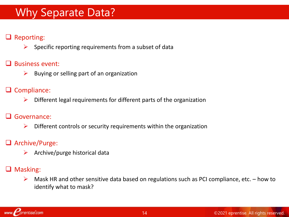### Why Separate Data?

#### **Q** Reporting:

 $\triangleright$  Specific reporting requirements from a subset of data

#### $\Box$  Business event:

 $\triangleright$  Buying or selling part of an organization

#### $\Box$  Compliance:

 $\triangleright$  Different legal requirements for different parts of the organization

#### Governance:

 $\triangleright$  Different controls or security requirements within the organization

#### **Q** Archive/Purge:

 $\triangleright$  Archive/purge historical data

#### **Q** Masking:

 $\triangleright$  Mask HR and other sensitive data based on regulations such as PCI compliance, etc. – how to identify what to mask?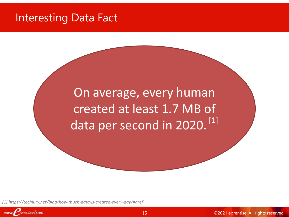### Interesting Data Fact

On average, every human created at least 1.7 MB of data per second in 2020.<sup>[1]</sup>

*[1] https://techjury.net/blog/how-much-data-is-created-every-day/#gref*

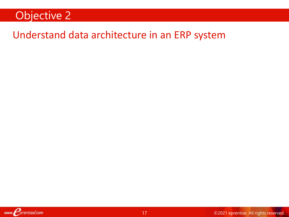### Objective 2

### Understand data architecture in an ERP system

www. Corentise.com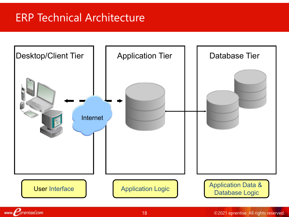# ERP Technical Architecture

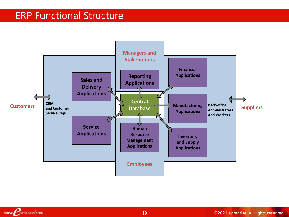### ERP Functional Structure

www. Corentise.com

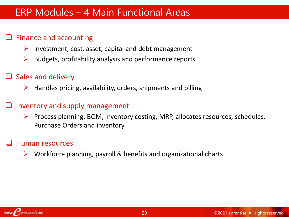### ERP Modules – 4 Main Functional Areas

#### Finance and accounting

- $\triangleright$  Investment, cost, asset, capital and debt management
- $\triangleright$  Budgets, profitability analysis and performance reports

#### $\Box$  Sales and delivery

 $\triangleright$  Handles pricing, availability, orders, shipments and billing

#### Inventory and supply management

 $\triangleright$  Process planning, BOM, inventory costing, MRP, allocates resources, schedules, Purchase Orders and inventory

#### Human resources

 $\triangleright$  Workforce planning, payroll & benefits and organizational charts

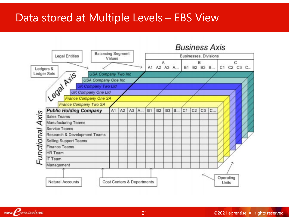### Data stored at Multiple Levels – EBS View

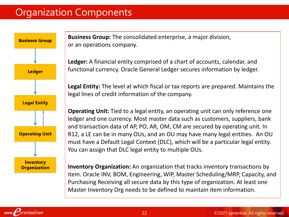### Organization Components

![](_page_18_Figure_1.jpeg)

**Business Group:** The consolidated enterprise, a major division, or an operations company.

**Ledger:** A financial entity comprised of a chart of accounts, calendar, and functional currency. Oracle General Ledger secures information by ledger.

**Legal Entity:** The level at which fiscal or tax reports are prepared. Maintains the legal lines of credit information of the company.

**Operating Unit:** Tied to a legal entity, an operating unit can only reference one ledger and one currency. Most master data such as customers, suppliers, bank and transaction data of AP, PO, AR, OM, CM are secured by operating unit. In R12, a LE can be in many OUs, and an OU may have many legal entities. An OU must have a Default Legal Context (DLC), which will be a particular legal entity. You can assign that DLC legal entity to multiple OUs.

**Inventory Organization:** An organization that tracks inventory transactions by item. Oracle INV, BOM, Engineering, WIP, Master Scheduling/MRP, Capacity, and Purchasing Receiving all secure data by this type of organization. At least one Master Inventory Org needs to be defined to maintain item information.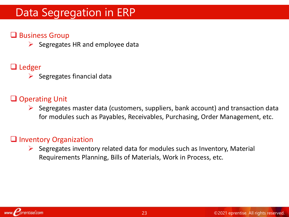### Data Segregation in ERP

#### **□** Business Group

 $\triangleright$  Segregates HR and employee data

#### **□** Ledger

 $\triangleright$  Segregates financial data

#### **□** Operating Unit

 $\triangleright$  Segregates master data (customers, suppliers, bank account) and transaction data for modules such as Payables, Receivables, Purchasing, Order Management, etc.

#### **Q** Inventory Organization

 $\triangleright$  Segregates inventory related data for modules such as Inventory, Material Requirements Planning, Bills of Materials, Work in Process, etc.

![](_page_19_Picture_9.jpeg)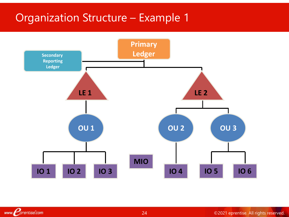### Organization Structure – Example 1

www. Corentise.com

![](_page_20_Figure_1.jpeg)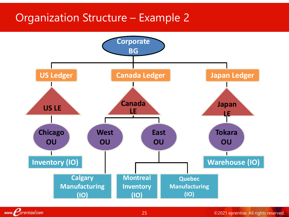### Organization Structure – Example 2

![](_page_21_Figure_1.jpeg)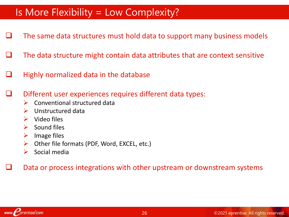### Is More Flexibility = Low Complexity?

- The same data structures must hold data to support many business models
- The data structure might contain data attributes that are context sensitive
- $\Box$  Highly normalized data in the database

Different user experiences requires different data types:

- $\triangleright$  Conventional structured data
- $\triangleright$  Unstructured data
- $\triangleright$  Video files
- $\triangleright$  Sound files
- $\triangleright$  Image files
- $\triangleright$  Other file formats (PDF, Word, EXCEL, etc.)
- $\triangleright$  Social media

Data or process integrations with other upstream or downstream systems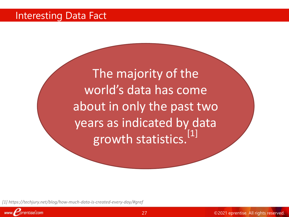### Interesting Data Fact

The majority of the world's data has come about in only the past two years as indicated by data growth statistics.<sup>[1]</sup>

*[1] https://techjury.net/blog/how-much-data-is-created-every-day/#gref*

![](_page_23_Picture_3.jpeg)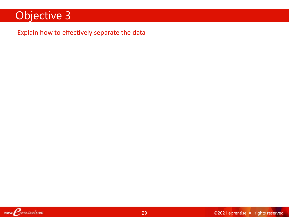### Objective 3

#### Explain how to effectively separate the data

www. *Porentise.com*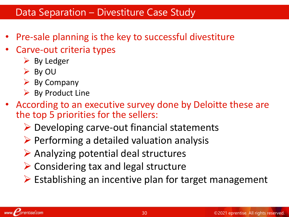### Data Separation – Divestiture Case Study

- Pre-sale planning is the key to successful divestiture
- Carve-out criteria types
	- $\triangleright$  By Ledger
	- $\triangleright$  By OU
	- $\triangleright$  By Company
	- $\triangleright$  By Product Line
- According to an executive survey done by Deloitte these are the top 5 priorities for the sellers:
	- $\triangleright$  Developing carve-out financial statements
	- $\triangleright$  Performing a detailed valuation analysis
	- $\triangleright$  Analyzing potential deal structures
	- $\triangleright$  Considering tax and legal structure
	- $\triangleright$  Establishing an incentive plan for target management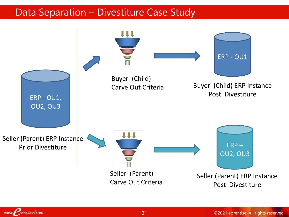### Data Separation – Divestiture Case Study

![](_page_26_Figure_1.jpeg)

www. *prentise.com*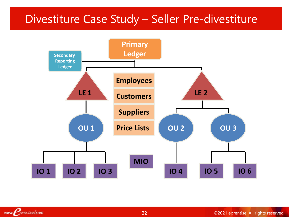### Divestiture Case Study – Seller Pre-divestiture

![](_page_27_Figure_1.jpeg)

www. *Porentise.com*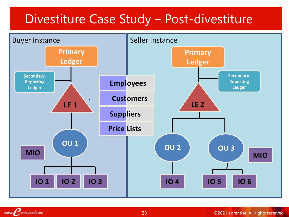# Divestiture Case Study – Post-divestiture

![](_page_28_Figure_1.jpeg)

www. *prentise.com*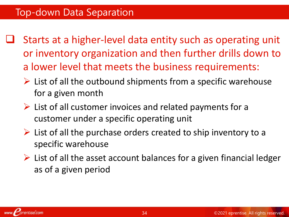- Starts at a higher-level data entity such as operating unit or inventory organization and then further drills down to a lower level that meets the business requirements:
	- $\triangleright$  List of all the outbound shipments from a specific warehouse for a given month
	- $\triangleright$  List of all customer invoices and related payments for a customer under a specific operating unit
	- $\triangleright$  List of all the purchase orders created to ship inventory to a specific warehouse
	- $\triangleright$  List of all the asset account balances for a given financial ledger as of a given period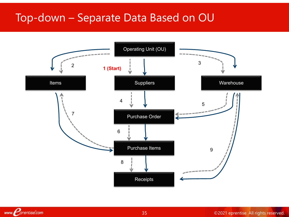### Top-down – Separate Data Based on OU

![](_page_30_Figure_1.jpeg)

35 ©2021 eprentise. All rights reserved.

www. Corentise.com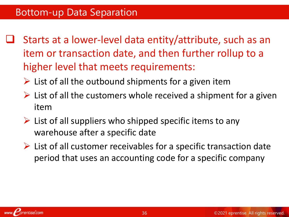- Starts at a lower-level data entity/attribute, such as an item or transaction date, and then further rollup to a higher level that meets requirements:
	- $\triangleright$  List of all the outbound shipments for a given item
	- $\triangleright$  List of all the customers whole received a shipment for a given item
	- $\triangleright$  List of all suppliers who shipped specific items to any warehouse after a specific date
	- $\triangleright$  List of all customer receivables for a specific transaction date period that uses an accounting code for a specific company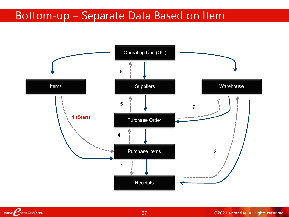### Bottom-up – Separate Data Based on Item

![](_page_32_Figure_1.jpeg)

www. Corentise.com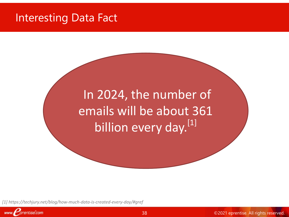### Interesting Data Fact

In 2024, the number of emails will be about 361 billion every day.<sup>[1]</sup>

*[1] https://techjury.net/blog/how-much-data-is-created-every-day/#gref*

![](_page_33_Picture_3.jpeg)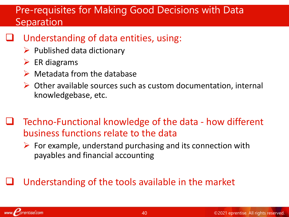### Pre-requisites for Making Good Decisions with Data Separation

- Understanding of data entities, using:
	- $\triangleright$  Published data dictionary
	- $\triangleright$  ER diagrams
	- $\triangleright$  Metadata from the database
	- $\triangleright$  Other available sources such as custom documentation, internal knowledgebase, etc.
- Techno-Functional knowledge of the data how different business functions relate to the data
	- $\triangleright$  For example, understand purchasing and its connection with payables and financial accounting

### Understanding of the tools available in the market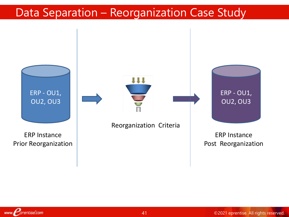# Data Separation – Reorganization Case Study

![](_page_35_Figure_1.jpeg)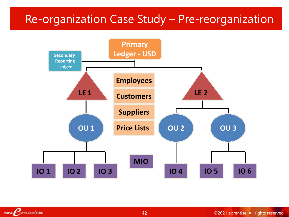### Re-organization Case Study – Pre-reorganization

![](_page_36_Figure_1.jpeg)

www. *Porentise.com*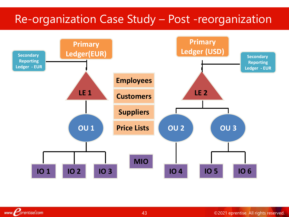### Re-organization Case Study – Post -reorganization

![](_page_37_Figure_1.jpeg)

www. *Porentise.com*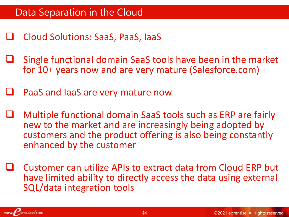- Cloud Solutions: SaaS, PaaS, IaaS
- Single functional domain SaaS tools have been in the market for 10+ years now and are very mature (Salesforce.com)
- PaaS and IaaS are very mature now
- Multiple functional domain SaaS tools such as ERP are fairly new to the market and are increasingly being adopted by customers and the product offering is also being constantly enhanced by the customer
- Customer can utilize APIs to extract data from Cloud ERP but have limited ability to directly access the data using external SQL/data integration tools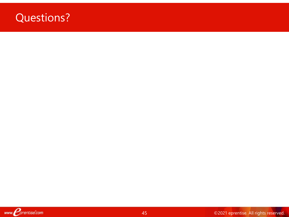### Questions?